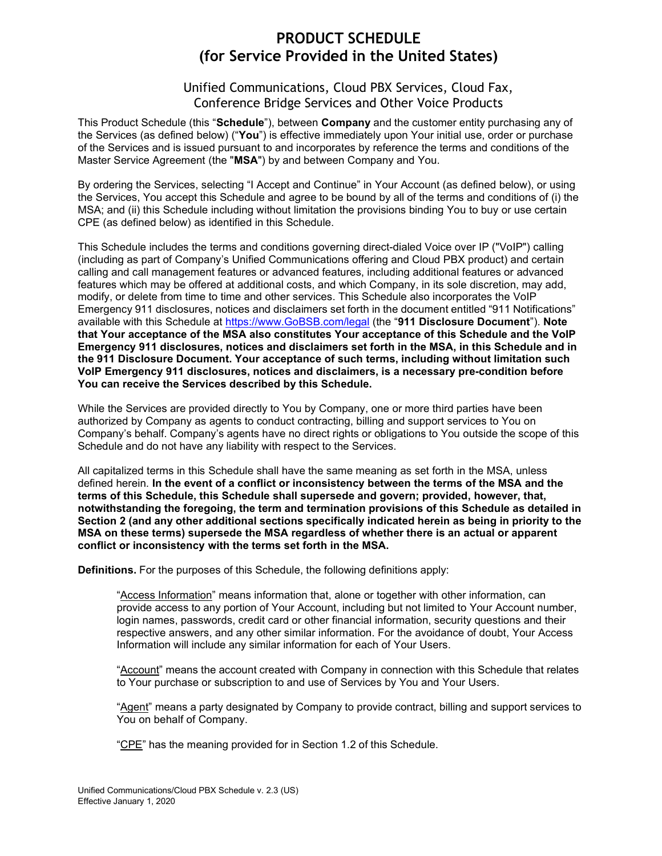# PRODUCT SCHEDULE (for Service Provided in the United States)

# Unified Communications, Cloud PBX Services, Cloud Fax, Conference Bridge Services and Other Voice Products

This Product Schedule (this "**Schedule**"), between **Company** and the customer entity purchasing any of the Services (as defined below) ("You") is effective immediately upon Your initial use, order or purchase of the Services and is issued pursuant to and incorporates by reference the terms and conditions of the Master Service Agreement (the "MSA") by and between Company and You.

By ordering the Services, selecting "I Accept and Continue" in Your Account (as defined below), or using the Services, You accept this Schedule and agree to be bound by all of the terms and conditions of (i) the MSA; and (ii) this Schedule including without limitation the provisions binding You to buy or use certain CPE (as defined below) as identified in this Schedule.

This Schedule includes the terms and conditions governing direct-dialed Voice over IP ("VoIP") calling (including as part of Company's Unified Communications offering and Cloud PBX product) and certain calling and call management features or advanced features, including additional features or advanced features which may be offered at additional costs, and which Company, in its sole discretion, may add, modify, or delete from time to time and other services. This Schedule also incorporates the VoIP Emergency 911 disclosures, notices and disclaimers set forth in the document entitled "911 Notifications" available with this Schedule at https://www.GoBSB.com/legal (the "911 Disclosure Document"). Note that Your acceptance of the MSA also constitutes Your acceptance of this Schedule and the VoIP Emergency 911 disclosures, notices and disclaimers set forth in the MSA, in this Schedule and in the 911 Disclosure Document. Your acceptance of such terms, including without limitation such VoIP Emergency 911 disclosures, notices and disclaimers, is a necessary pre-condition before You can receive the Services described by this Schedule.

While the Services are provided directly to You by Company, one or more third parties have been authorized by Company as agents to conduct contracting, billing and support services to You on Company's behalf. Company's agents have no direct rights or obligations to You outside the scope of this Schedule and do not have any liability with respect to the Services.

All capitalized terms in this Schedule shall have the same meaning as set forth in the MSA, unless defined herein. In the event of a conflict or inconsistency between the terms of the MSA and the terms of this Schedule, this Schedule shall supersede and govern; provided, however, that, notwithstanding the foregoing, the term and termination provisions of this Schedule as detailed in Section 2 (and any other additional sections specifically indicated herein as being in priority to the MSA on these terms) supersede the MSA regardless of whether there is an actual or apparent conflict or inconsistency with the terms set forth in the MSA.

Definitions. For the purposes of this Schedule, the following definitions apply:

"Access Information" means information that, alone or together with other information, can provide access to any portion of Your Account, including but not limited to Your Account number, login names, passwords, credit card or other financial information, security questions and their respective answers, and any other similar information. For the avoidance of doubt, Your Access Information will include any similar information for each of Your Users.

"Account" means the account created with Company in connection with this Schedule that relates to Your purchase or subscription to and use of Services by You and Your Users.

"Agent" means a party designated by Company to provide contract, billing and support services to You on behalf of Company.

"CPE" has the meaning provided for in Section 1.2 of this Schedule.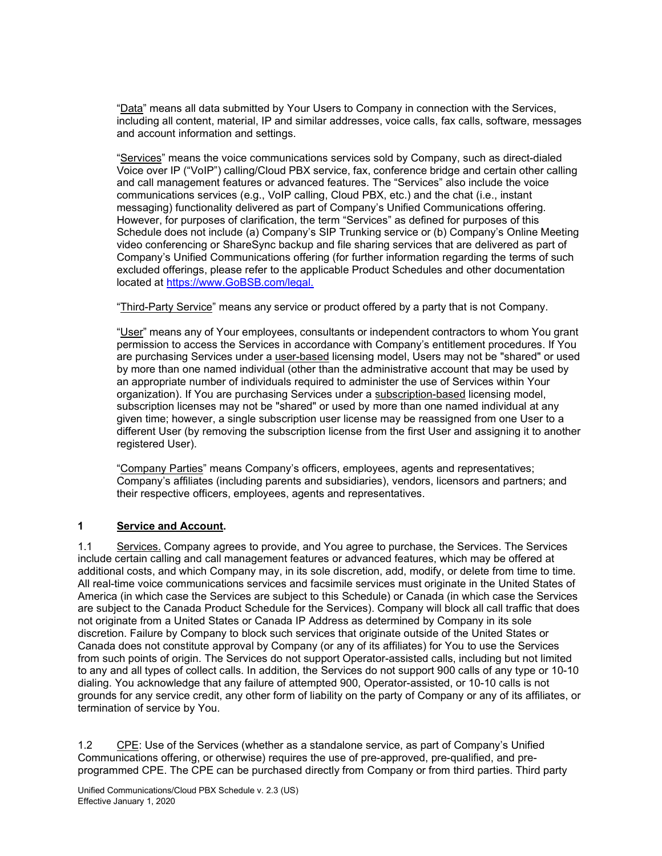"Data" means all data submitted by Your Users to Company in connection with the Services, including all content, material, IP and similar addresses, voice calls, fax calls, software, messages and account information and settings.

"Services" means the voice communications services sold by Company, such as direct-dialed Voice over IP ("VoIP") calling/Cloud PBX service, fax, conference bridge and certain other calling and call management features or advanced features. The "Services" also include the voice communications services (e.g., VoIP calling, Cloud PBX, etc.) and the chat (i.e., instant messaging) functionality delivered as part of Company's Unified Communications offering. However, for purposes of clarification, the term "Services" as defined for purposes of this Schedule does not include (a) Company's SIP Trunking service or (b) Company's Online Meeting video conferencing or ShareSync backup and file sharing services that are delivered as part of Company's Unified Communications offering (for further information regarding the terms of such excluded offerings, please refer to the applicable Product Schedules and other documentation located at https://www.GoBSB.com/legal.

"Third-Party Service" means any service or product offered by a party that is not Company.

"User" means any of Your employees, consultants or independent contractors to whom You grant permission to access the Services in accordance with Company's entitlement procedures. If You are purchasing Services under a user-based licensing model, Users may not be "shared" or used by more than one named individual (other than the administrative account that may be used by an appropriate number of individuals required to administer the use of Services within Your organization). If You are purchasing Services under a subscription-based licensing model, subscription licenses may not be "shared" or used by more than one named individual at any given time; however, a single subscription user license may be reassigned from one User to a different User (by removing the subscription license from the first User and assigning it to another registered User).

"Company Parties" means Company's officers, employees, agents and representatives; Company's affiliates (including parents and subsidiaries), vendors, licensors and partners; and their respective officers, employees, agents and representatives.

# 1 Service and Account.

1.1 Services. Company agrees to provide, and You agree to purchase, the Services. The Services include certain calling and call management features or advanced features, which may be offered at additional costs, and which Company may, in its sole discretion, add, modify, or delete from time to time. All real-time voice communications services and facsimile services must originate in the United States of America (in which case the Services are subject to this Schedule) or Canada (in which case the Services are subject to the Canada Product Schedule for the Services). Company will block all call traffic that does not originate from a United States or Canada IP Address as determined by Company in its sole discretion. Failure by Company to block such services that originate outside of the United States or Canada does not constitute approval by Company (or any of its affiliates) for You to use the Services from such points of origin. The Services do not support Operator-assisted calls, including but not limited to any and all types of collect calls. In addition, the Services do not support 900 calls of any type or 10-10 dialing. You acknowledge that any failure of attempted 900, Operator-assisted, or 10-10 calls is not grounds for any service credit, any other form of liability on the party of Company or any of its affiliates, or termination of service by You.

1.2 CPE: Use of the Services (whether as a standalone service, as part of Company's Unified Communications offering, or otherwise) requires the use of pre-approved, pre-qualified, and preprogrammed CPE. The CPE can be purchased directly from Company or from third parties. Third party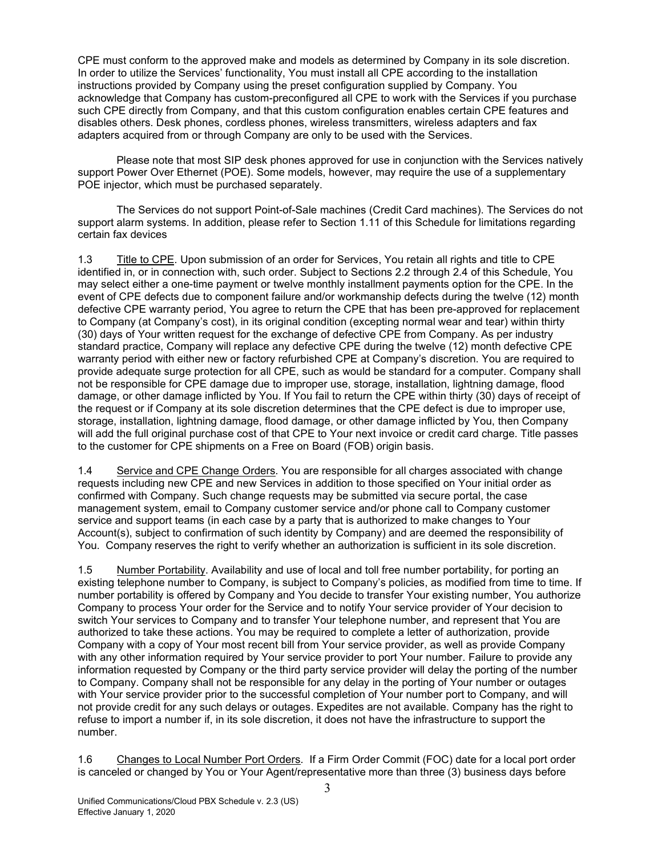CPE must conform to the approved make and models as determined by Company in its sole discretion. In order to utilize the Services' functionality, You must install all CPE according to the installation instructions provided by Company using the preset configuration supplied by Company. You acknowledge that Company has custom-preconfigured all CPE to work with the Services if you purchase such CPE directly from Company, and that this custom configuration enables certain CPE features and disables others. Desk phones, cordless phones, wireless transmitters, wireless adapters and fax adapters acquired from or through Company are only to be used with the Services.

Please note that most SIP desk phones approved for use in conjunction with the Services natively support Power Over Ethernet (POE). Some models, however, may require the use of a supplementary POE injector, which must be purchased separately.

The Services do not support Point-of-Sale machines (Credit Card machines). The Services do not support alarm systems. In addition, please refer to Section 1.11 of this Schedule for limitations regarding certain fax devices

1.3 Title to CPE. Upon submission of an order for Services, You retain all rights and title to CPE identified in, or in connection with, such order. Subject to Sections 2.2 through 2.4 of this Schedule, You may select either a one-time payment or twelve monthly installment payments option for the CPE. In the event of CPE defects due to component failure and/or workmanship defects during the twelve (12) month defective CPE warranty period, You agree to return the CPE that has been pre-approved for replacement to Company (at Company's cost), in its original condition (excepting normal wear and tear) within thirty (30) days of Your written request for the exchange of defective CPE from Company. As per industry standard practice, Company will replace any defective CPE during the twelve (12) month defective CPE warranty period with either new or factory refurbished CPE at Company's discretion. You are required to provide adequate surge protection for all CPE, such as would be standard for a computer. Company shall not be responsible for CPE damage due to improper use, storage, installation, lightning damage, flood damage, or other damage inflicted by You. If You fail to return the CPE within thirty (30) days of receipt of the request or if Company at its sole discretion determines that the CPE defect is due to improper use, storage, installation, lightning damage, flood damage, or other damage inflicted by You, then Company will add the full original purchase cost of that CPE to Your next invoice or credit card charge. Title passes to the customer for CPE shipments on a Free on Board (FOB) origin basis.

1.4 Service and CPE Change Orders. You are responsible for all charges associated with change requests including new CPE and new Services in addition to those specified on Your initial order as confirmed with Company. Such change requests may be submitted via secure portal, the case management system, email to Company customer service and/or phone call to Company customer service and support teams (in each case by a party that is authorized to make changes to Your Account(s), subject to confirmation of such identity by Company) and are deemed the responsibility of You. Company reserves the right to verify whether an authorization is sufficient in its sole discretion.

1.5 Number Portability. Availability and use of local and toll free number portability, for porting an existing telephone number to Company, is subject to Company's policies, as modified from time to time. If number portability is offered by Company and You decide to transfer Your existing number, You authorize Company to process Your order for the Service and to notify Your service provider of Your decision to switch Your services to Company and to transfer Your telephone number, and represent that You are authorized to take these actions. You may be required to complete a letter of authorization, provide Company with a copy of Your most recent bill from Your service provider, as well as provide Company with any other information required by Your service provider to port Your number. Failure to provide any information requested by Company or the third party service provider will delay the porting of the number to Company. Company shall not be responsible for any delay in the porting of Your number or outages with Your service provider prior to the successful completion of Your number port to Company, and will not provide credit for any such delays or outages. Expedites are not available. Company has the right to refuse to import a number if, in its sole discretion, it does not have the infrastructure to support the number.

1.6 Changes to Local Number Port Orders. If a Firm Order Commit (FOC) date for a local port order is canceled or changed by You or Your Agent/representative more than three (3) business days before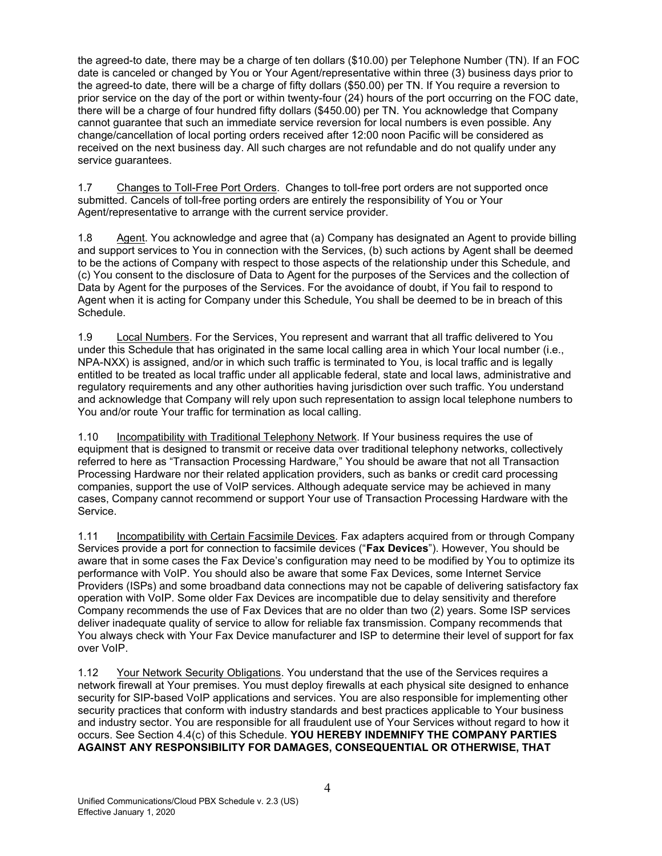the agreed-to date, there may be a charge of ten dollars (\$10.00) per Telephone Number (TN). If an FOC date is canceled or changed by You or Your Agent/representative within three (3) business days prior to the agreed-to date, there will be a charge of fifty dollars (\$50.00) per TN. If You require a reversion to prior service on the day of the port or within twenty-four (24) hours of the port occurring on the FOC date, there will be a charge of four hundred fifty dollars (\$450.00) per TN. You acknowledge that Company cannot guarantee that such an immediate service reversion for local numbers is even possible. Any change/cancellation of local porting orders received after 12:00 noon Pacific will be considered as received on the next business day. All such charges are not refundable and do not qualify under any service guarantees.

1.7 Changes to Toll-Free Port Orders. Changes to toll-free port orders are not supported once submitted. Cancels of toll-free porting orders are entirely the responsibility of You or Your Agent/representative to arrange with the current service provider.

1.8 Agent. You acknowledge and agree that (a) Company has designated an Agent to provide billing and support services to You in connection with the Services, (b) such actions by Agent shall be deemed to be the actions of Company with respect to those aspects of the relationship under this Schedule, and (c) You consent to the disclosure of Data to Agent for the purposes of the Services and the collection of Data by Agent for the purposes of the Services. For the avoidance of doubt, if You fail to respond to Agent when it is acting for Company under this Schedule, You shall be deemed to be in breach of this Schedule.

1.9 Local Numbers. For the Services, You represent and warrant that all traffic delivered to You under this Schedule that has originated in the same local calling area in which Your local number (i.e., NPA-NXX) is assigned, and/or in which such traffic is terminated to You, is local traffic and is legally entitled to be treated as local traffic under all applicable federal, state and local laws, administrative and regulatory requirements and any other authorities having jurisdiction over such traffic. You understand and acknowledge that Company will rely upon such representation to assign local telephone numbers to You and/or route Your traffic for termination as local calling.

1.10 Incompatibility with Traditional Telephony Network. If Your business requires the use of equipment that is designed to transmit or receive data over traditional telephony networks, collectively referred to here as "Transaction Processing Hardware," You should be aware that not all Transaction Processing Hardware nor their related application providers, such as banks or credit card processing companies, support the use of VoIP services. Although adequate service may be achieved in many cases, Company cannot recommend or support Your use of Transaction Processing Hardware with the Service.

1.11 Incompatibility with Certain Facsimile Devices. Fax adapters acquired from or through Company Services provide a port for connection to facsimile devices ("Fax Devices"). However, You should be aware that in some cases the Fax Device's configuration may need to be modified by You to optimize its performance with VoIP. You should also be aware that some Fax Devices, some Internet Service Providers (ISPs) and some broadband data connections may not be capable of delivering satisfactory fax operation with VoIP. Some older Fax Devices are incompatible due to delay sensitivity and therefore Company recommends the use of Fax Devices that are no older than two (2) years. Some ISP services deliver inadequate quality of service to allow for reliable fax transmission. Company recommends that You always check with Your Fax Device manufacturer and ISP to determine their level of support for fax over VoIP.

1.12 Your Network Security Obligations. You understand that the use of the Services requires a network firewall at Your premises. You must deploy firewalls at each physical site designed to enhance security for SIP-based VoIP applications and services. You are also responsible for implementing other security practices that conform with industry standards and best practices applicable to Your business and industry sector. You are responsible for all fraudulent use of Your Services without regard to how it occurs. See Section 4.4(c) of this Schedule. YOU HEREBY INDEMNIFY THE COMPANY PARTIES AGAINST ANY RESPONSIBILITY FOR DAMAGES, CONSEQUENTIAL OR OTHERWISE, THAT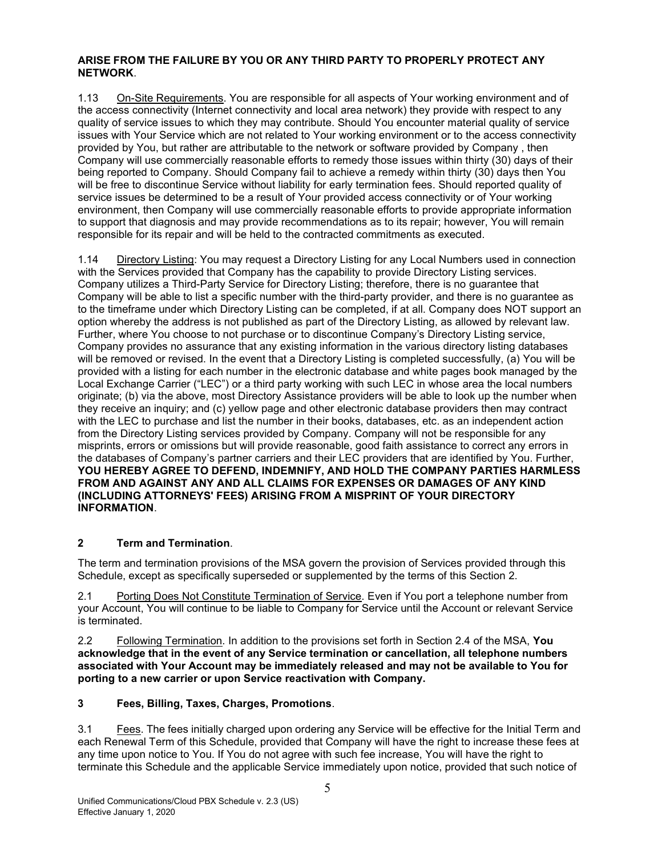### ARISE FROM THE FAILURE BY YOU OR ANY THIRD PARTY TO PROPERLY PROTECT ANY NETWORK.

1.13 On-Site Requirements. You are responsible for all aspects of Your working environment and of the access connectivity (Internet connectivity and local area network) they provide with respect to any quality of service issues to which they may contribute. Should You encounter material quality of service issues with Your Service which are not related to Your working environment or to the access connectivity provided by You, but rather are attributable to the network or software provided by Company , then Company will use commercially reasonable efforts to remedy those issues within thirty (30) days of their being reported to Company. Should Company fail to achieve a remedy within thirty (30) days then You will be free to discontinue Service without liability for early termination fees. Should reported quality of service issues be determined to be a result of Your provided access connectivity or of Your working environment, then Company will use commercially reasonable efforts to provide appropriate information to support that diagnosis and may provide recommendations as to its repair; however, You will remain responsible for its repair and will be held to the contracted commitments as executed.

1.14 Directory Listing: You may request a Directory Listing for any Local Numbers used in connection with the Services provided that Company has the capability to provide Directory Listing services. Company utilizes a Third-Party Service for Directory Listing; therefore, there is no guarantee that Company will be able to list a specific number with the third-party provider, and there is no guarantee as to the timeframe under which Directory Listing can be completed, if at all. Company does NOT support an option whereby the address is not published as part of the Directory Listing, as allowed by relevant law. Further, where You choose to not purchase or to discontinue Company's Directory Listing service, Company provides no assurance that any existing information in the various directory listing databases will be removed or revised. In the event that a Directory Listing is completed successfully, (a) You will be provided with a listing for each number in the electronic database and white pages book managed by the Local Exchange Carrier ("LEC") or a third party working with such LEC in whose area the local numbers originate; (b) via the above, most Directory Assistance providers will be able to look up the number when they receive an inquiry; and (c) yellow page and other electronic database providers then may contract with the LEC to purchase and list the number in their books, databases, etc. as an independent action from the Directory Listing services provided by Company. Company will not be responsible for any misprints, errors or omissions but will provide reasonable, good faith assistance to correct any errors in the databases of Company's partner carriers and their LEC providers that are identified by You. Further, YOU HEREBY AGREE TO DEFEND, INDEMNIFY, AND HOLD THE COMPANY PARTIES HARMLESS FROM AND AGAINST ANY AND ALL CLAIMS FOR EXPENSES OR DAMAGES OF ANY KIND (INCLUDING ATTORNEYS' FEES) ARISING FROM A MISPRINT OF YOUR DIRECTORY INFORMATION.

# 2 Term and Termination.

The term and termination provisions of the MSA govern the provision of Services provided through this Schedule, except as specifically superseded or supplemented by the terms of this Section 2.

2.1 Porting Does Not Constitute Termination of Service. Even if You port a telephone number from your Account, You will continue to be liable to Company for Service until the Account or relevant Service is terminated.

2.2 Following Termination. In addition to the provisions set forth in Section 2.4 of the MSA, You acknowledge that in the event of any Service termination or cancellation, all telephone numbers associated with Your Account may be immediately released and may not be available to You for porting to a new carrier or upon Service reactivation with Company.

## 3 Fees, Billing, Taxes, Charges, Promotions.

3.1 Fees. The fees initially charged upon ordering any Service will be effective for the Initial Term and each Renewal Term of this Schedule, provided that Company will have the right to increase these fees at any time upon notice to You. If You do not agree with such fee increase, You will have the right to terminate this Schedule and the applicable Service immediately upon notice, provided that such notice of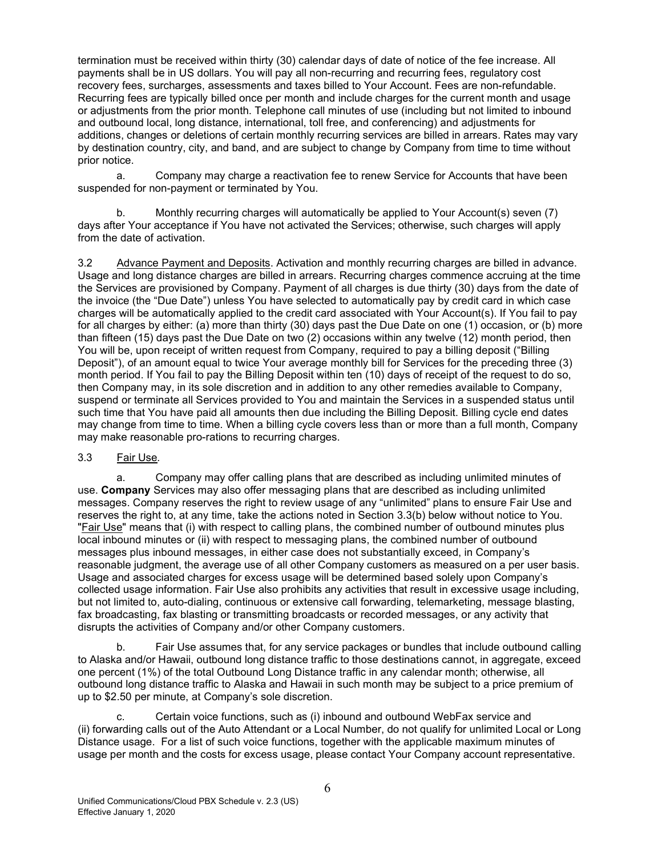termination must be received within thirty (30) calendar days of date of notice of the fee increase. All payments shall be in US dollars. You will pay all non-recurring and recurring fees, regulatory cost recovery fees, surcharges, assessments and taxes billed to Your Account. Fees are non-refundable. Recurring fees are typically billed once per month and include charges for the current month and usage or adjustments from the prior month. Telephone call minutes of use (including but not limited to inbound and outbound local, long distance, international, toll free, and conferencing) and adjustments for additions, changes or deletions of certain monthly recurring services are billed in arrears. Rates may vary by destination country, city, and band, and are subject to change by Company from time to time without prior notice.

a. Company may charge a reactivation fee to renew Service for Accounts that have been suspended for non-payment or terminated by You.

b. Monthly recurring charges will automatically be applied to Your Account(s) seven (7) days after Your acceptance if You have not activated the Services; otherwise, such charges will apply from the date of activation.

3.2 Advance Payment and Deposits. Activation and monthly recurring charges are billed in advance. Usage and long distance charges are billed in arrears. Recurring charges commence accruing at the time the Services are provisioned by Company. Payment of all charges is due thirty (30) days from the date of the invoice (the "Due Date") unless You have selected to automatically pay by credit card in which case charges will be automatically applied to the credit card associated with Your Account(s). If You fail to pay for all charges by either: (a) more than thirty (30) days past the Due Date on one (1) occasion, or (b) more than fifteen (15) days past the Due Date on two (2) occasions within any twelve (12) month period, then You will be, upon receipt of written request from Company, required to pay a billing deposit ("Billing Deposit"), of an amount equal to twice Your average monthly bill for Services for the preceding three (3) month period. If You fail to pay the Billing Deposit within ten (10) days of receipt of the request to do so, then Company may, in its sole discretion and in addition to any other remedies available to Company, suspend or terminate all Services provided to You and maintain the Services in a suspended status until such time that You have paid all amounts then due including the Billing Deposit. Billing cycle end dates may change from time to time. When a billing cycle covers less than or more than a full month, Company may make reasonable pro-rations to recurring charges.

#### 3.3 Fair Use.

a. Company may offer calling plans that are described as including unlimited minutes of use. Company Services may also offer messaging plans that are described as including unlimited messages. Company reserves the right to review usage of any "unlimited" plans to ensure Fair Use and reserves the right to, at any time, take the actions noted in Section 3.3(b) below without notice to You. "Fair Use" means that (i) with respect to calling plans, the combined number of outbound minutes plus local inbound minutes or (ii) with respect to messaging plans, the combined number of outbound messages plus inbound messages, in either case does not substantially exceed, in Company's reasonable judgment, the average use of all other Company customers as measured on a per user basis. Usage and associated charges for excess usage will be determined based solely upon Company's collected usage information. Fair Use also prohibits any activities that result in excessive usage including, but not limited to, auto-dialing, continuous or extensive call forwarding, telemarketing, message blasting, fax broadcasting, fax blasting or transmitting broadcasts or recorded messages, or any activity that disrupts the activities of Company and/or other Company customers.

b. Fair Use assumes that, for any service packages or bundles that include outbound calling to Alaska and/or Hawaii, outbound long distance traffic to those destinations cannot, in aggregate, exceed one percent (1%) of the total Outbound Long Distance traffic in any calendar month; otherwise, all outbound long distance traffic to Alaska and Hawaii in such month may be subject to a price premium of up to \$2.50 per minute, at Company's sole discretion.

c. Certain voice functions, such as (i) inbound and outbound WebFax service and (ii) forwarding calls out of the Auto Attendant or a Local Number, do not qualify for unlimited Local or Long Distance usage. For a list of such voice functions, together with the applicable maximum minutes of usage per month and the costs for excess usage, please contact Your Company account representative.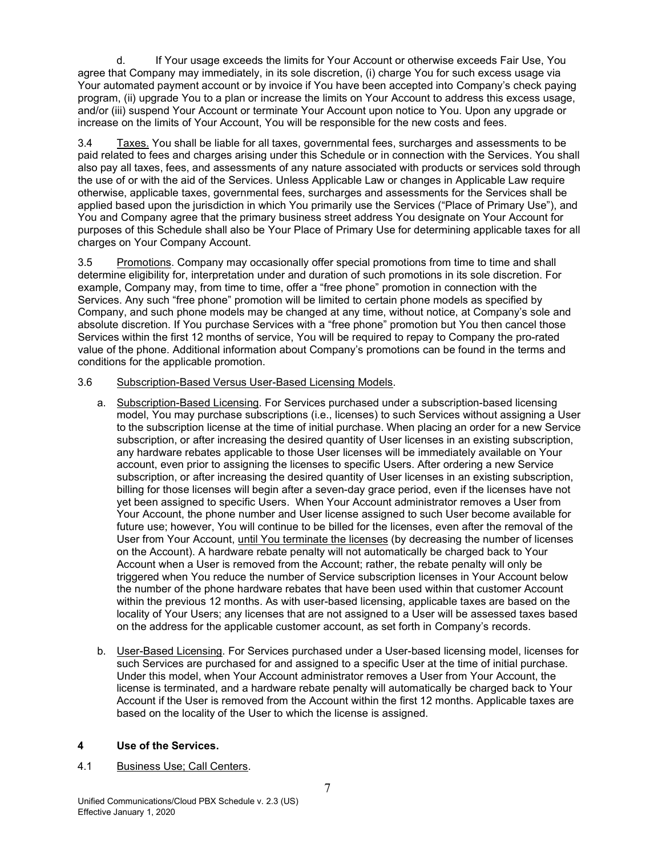d. If Your usage exceeds the limits for Your Account or otherwise exceeds Fair Use, You agree that Company may immediately, in its sole discretion, (i) charge You for such excess usage via Your automated payment account or by invoice if You have been accepted into Company's check paying program, (ii) upgrade You to a plan or increase the limits on Your Account to address this excess usage, and/or (iii) suspend Your Account or terminate Your Account upon notice to You. Upon any upgrade or increase on the limits of Your Account, You will be responsible for the new costs and fees.

3.4 Taxes. You shall be liable for all taxes, governmental fees, surcharges and assessments to be paid related to fees and charges arising under this Schedule or in connection with the Services. You shall also pay all taxes, fees, and assessments of any nature associated with products or services sold through the use of or with the aid of the Services. Unless Applicable Law or changes in Applicable Law require otherwise, applicable taxes, governmental fees, surcharges and assessments for the Services shall be applied based upon the jurisdiction in which You primarily use the Services ("Place of Primary Use"), and You and Company agree that the primary business street address You designate on Your Account for purposes of this Schedule shall also be Your Place of Primary Use for determining applicable taxes for all charges on Your Company Account.

3.5 Promotions. Company may occasionally offer special promotions from time to time and shall determine eligibility for, interpretation under and duration of such promotions in its sole discretion. For example, Company may, from time to time, offer a "free phone" promotion in connection with the Services. Any such "free phone" promotion will be limited to certain phone models as specified by Company, and such phone models may be changed at any time, without notice, at Company's sole and absolute discretion. If You purchase Services with a "free phone" promotion but You then cancel those Services within the first 12 months of service, You will be required to repay to Company the pro-rated value of the phone. Additional information about Company's promotions can be found in the terms and conditions for the applicable promotion.

#### 3.6 Subscription-Based Versus User-Based Licensing Models.

- a. Subscription-Based Licensing. For Services purchased under a subscription-based licensing model, You may purchase subscriptions (i.e., licenses) to such Services without assigning a User to the subscription license at the time of initial purchase. When placing an order for a new Service subscription, or after increasing the desired quantity of User licenses in an existing subscription, any hardware rebates applicable to those User licenses will be immediately available on Your account, even prior to assigning the licenses to specific Users. After ordering a new Service subscription, or after increasing the desired quantity of User licenses in an existing subscription, billing for those licenses will begin after a seven-day grace period, even if the licenses have not yet been assigned to specific Users. When Your Account administrator removes a User from Your Account, the phone number and User license assigned to such User become available for future use; however, You will continue to be billed for the licenses, even after the removal of the User from Your Account, until You terminate the licenses (by decreasing the number of licenses on the Account). A hardware rebate penalty will not automatically be charged back to Your Account when a User is removed from the Account; rather, the rebate penalty will only be triggered when You reduce the number of Service subscription licenses in Your Account below the number of the phone hardware rebates that have been used within that customer Account within the previous 12 months. As with user-based licensing, applicable taxes are based on the locality of Your Users; any licenses that are not assigned to a User will be assessed taxes based on the address for the applicable customer account, as set forth in Company's records.
- b. User-Based Licensing. For Services purchased under a User-based licensing model, licenses for such Services are purchased for and assigned to a specific User at the time of initial purchase. Under this model, when Your Account administrator removes a User from Your Account, the license is terminated, and a hardware rebate penalty will automatically be charged back to Your Account if the User is removed from the Account within the first 12 months. Applicable taxes are based on the locality of the User to which the license is assigned.

#### 4 Use of the Services.

4.1 Business Use; Call Centers.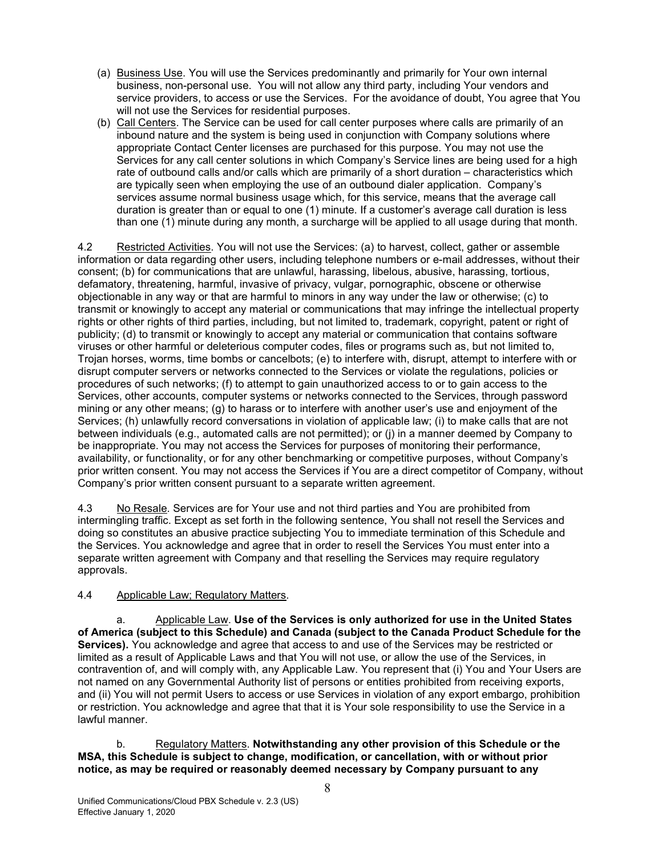- (a) Business Use. You will use the Services predominantly and primarily for Your own internal business, non-personal use. You will not allow any third party, including Your vendors and service providers, to access or use the Services. For the avoidance of doubt, You agree that You will not use the Services for residential purposes.
- (b) Call Centers. The Service can be used for call center purposes where calls are primarily of an inbound nature and the system is being used in conjunction with Company solutions where appropriate Contact Center licenses are purchased for this purpose. You may not use the Services for any call center solutions in which Company's Service lines are being used for a high rate of outbound calls and/or calls which are primarily of a short duration – characteristics which are typically seen when employing the use of an outbound dialer application. Company's services assume normal business usage which, for this service, means that the average call duration is greater than or equal to one (1) minute. If a customer's average call duration is less than one (1) minute during any month, a surcharge will be applied to all usage during that month.

4.2 Restricted Activities. You will not use the Services: (a) to harvest, collect, gather or assemble information or data regarding other users, including telephone numbers or e-mail addresses, without their consent; (b) for communications that are unlawful, harassing, libelous, abusive, harassing, tortious, defamatory, threatening, harmful, invasive of privacy, vulgar, pornographic, obscene or otherwise objectionable in any way or that are harmful to minors in any way under the law or otherwise; (c) to transmit or knowingly to accept any material or communications that may infringe the intellectual property rights or other rights of third parties, including, but not limited to, trademark, copyright, patent or right of publicity; (d) to transmit or knowingly to accept any material or communication that contains software viruses or other harmful or deleterious computer codes, files or programs such as, but not limited to, Trojan horses, worms, time bombs or cancelbots; (e) to interfere with, disrupt, attempt to interfere with or disrupt computer servers or networks connected to the Services or violate the regulations, policies or procedures of such networks; (f) to attempt to gain unauthorized access to or to gain access to the Services, other accounts, computer systems or networks connected to the Services, through password mining or any other means; (g) to harass or to interfere with another user's use and enjoyment of the Services; (h) unlawfully record conversations in violation of applicable law; (i) to make calls that are not between individuals (e.g., automated calls are not permitted); or (j) in a manner deemed by Company to be inappropriate. You may not access the Services for purposes of monitoring their performance, availability, or functionality, or for any other benchmarking or competitive purposes, without Company's prior written consent. You may not access the Services if You are a direct competitor of Company, without Company's prior written consent pursuant to a separate written agreement.

4.3 No Resale. Services are for Your use and not third parties and You are prohibited from intermingling traffic. Except as set forth in the following sentence, You shall not resell the Services and doing so constitutes an abusive practice subjecting You to immediate termination of this Schedule and the Services. You acknowledge and agree that in order to resell the Services You must enter into a separate written agreement with Company and that reselling the Services may require regulatory approvals.

# 4.4 Applicable Law; Regulatory Matters.

a. Applicable Law. Use of the Services is only authorized for use in the United States of America (subject to this Schedule) and Canada (subject to the Canada Product Schedule for the Services). You acknowledge and agree that access to and use of the Services may be restricted or limited as a result of Applicable Laws and that You will not use, or allow the use of the Services, in contravention of, and will comply with, any Applicable Law. You represent that (i) You and Your Users are not named on any Governmental Authority list of persons or entities prohibited from receiving exports, and (ii) You will not permit Users to access or use Services in violation of any export embargo, prohibition or restriction. You acknowledge and agree that that it is Your sole responsibility to use the Service in a lawful manner.

b. Regulatory Matters. Notwithstanding any other provision of this Schedule or the MSA, this Schedule is subject to change, modification, or cancellation, with or without prior notice, as may be required or reasonably deemed necessary by Company pursuant to any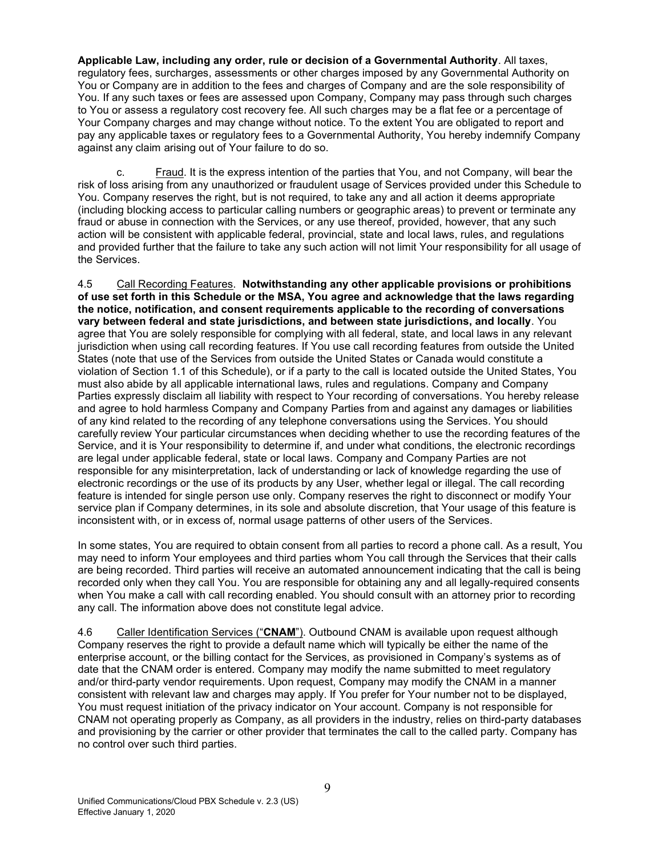Applicable Law, including any order, rule or decision of a Governmental Authority. All taxes, regulatory fees, surcharges, assessments or other charges imposed by any Governmental Authority on You or Company are in addition to the fees and charges of Company and are the sole responsibility of You. If any such taxes or fees are assessed upon Company, Company may pass through such charges to You or assess a regulatory cost recovery fee. All such charges may be a flat fee or a percentage of Your Company charges and may change without notice. To the extent You are obligated to report and pay any applicable taxes or regulatory fees to a Governmental Authority, You hereby indemnify Company against any claim arising out of Your failure to do so.

c. Fraud. It is the express intention of the parties that You, and not Company, will bear the risk of loss arising from any unauthorized or fraudulent usage of Services provided under this Schedule to You. Company reserves the right, but is not required, to take any and all action it deems appropriate (including blocking access to particular calling numbers or geographic areas) to prevent or terminate any fraud or abuse in connection with the Services, or any use thereof, provided, however, that any such action will be consistent with applicable federal, provincial, state and local laws, rules, and regulations and provided further that the failure to take any such action will not limit Your responsibility for all usage of the Services.

4.5 Call Recording Features. Notwithstanding any other applicable provisions or prohibitions of use set forth in this Schedule or the MSA, You agree and acknowledge that the laws regarding the notice, notification, and consent requirements applicable to the recording of conversations vary between federal and state jurisdictions, and between state jurisdictions, and locally. You agree that You are solely responsible for complying with all federal, state, and local laws in any relevant jurisdiction when using call recording features. If You use call recording features from outside the United States (note that use of the Services from outside the United States or Canada would constitute a violation of Section 1.1 of this Schedule), or if a party to the call is located outside the United States, You must also abide by all applicable international laws, rules and regulations. Company and Company Parties expressly disclaim all liability with respect to Your recording of conversations. You hereby release and agree to hold harmless Company and Company Parties from and against any damages or liabilities of any kind related to the recording of any telephone conversations using the Services. You should carefully review Your particular circumstances when deciding whether to use the recording features of the Service, and it is Your responsibility to determine if, and under what conditions, the electronic recordings are legal under applicable federal, state or local laws. Company and Company Parties are not responsible for any misinterpretation, lack of understanding or lack of knowledge regarding the use of electronic recordings or the use of its products by any User, whether legal or illegal. The call recording feature is intended for single person use only. Company reserves the right to disconnect or modify Your service plan if Company determines, in its sole and absolute discretion, that Your usage of this feature is inconsistent with, or in excess of, normal usage patterns of other users of the Services.

In some states, You are required to obtain consent from all parties to record a phone call. As a result, You may need to inform Your employees and third parties whom You call through the Services that their calls are being recorded. Third parties will receive an automated announcement indicating that the call is being recorded only when they call You. You are responsible for obtaining any and all legally-required consents when You make a call with call recording enabled. You should consult with an attorney prior to recording any call. The information above does not constitute legal advice.

4.6 Caller Identification Services ("CNAM"). Outbound CNAM is available upon request although Company reserves the right to provide a default name which will typically be either the name of the enterprise account, or the billing contact for the Services, as provisioned in Company's systems as of date that the CNAM order is entered. Company may modify the name submitted to meet regulatory and/or third-party vendor requirements. Upon request, Company may modify the CNAM in a manner consistent with relevant law and charges may apply. If You prefer for Your number not to be displayed, You must request initiation of the privacy indicator on Your account. Company is not responsible for CNAM not operating properly as Company, as all providers in the industry, relies on third-party databases and provisioning by the carrier or other provider that terminates the call to the called party. Company has no control over such third parties.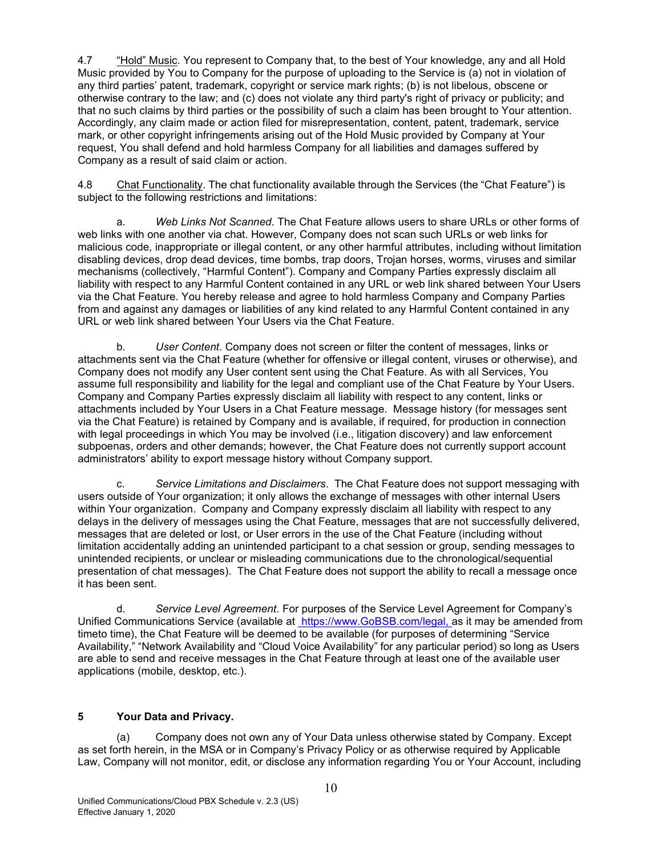4.7 "Hold" Music. You represent to Company that, to the best of Your knowledge, any and all Hold Music provided by You to Company for the purpose of uploading to the Service is (a) not in violation of any third parties' patent, trademark, copyright or service mark rights; (b) is not libelous, obscene or otherwise contrary to the law; and (c) does not violate any third party's right of privacy or publicity; and that no such claims by third parties or the possibility of such a claim has been brought to Your attention. Accordingly, any claim made or action filed for misrepresentation, content, patent, trademark, service mark, or other copyright infringements arising out of the Hold Music provided by Company at Your request, You shall defend and hold harmless Company for all liabilities and damages suffered by Company as a result of said claim or action.

4.8 Chat Functionality. The chat functionality available through the Services (the "Chat Feature") is subject to the following restrictions and limitations:

a. Web Links Not Scanned. The Chat Feature allows users to share URLs or other forms of web links with one another via chat. However, Company does not scan such URLs or web links for malicious code, inappropriate or illegal content, or any other harmful attributes, including without limitation disabling devices, drop dead devices, time bombs, trap doors, Trojan horses, worms, viruses and similar mechanisms (collectively, "Harmful Content"). Company and Company Parties expressly disclaim all liability with respect to any Harmful Content contained in any URL or web link shared between Your Users via the Chat Feature. You hereby release and agree to hold harmless Company and Company Parties from and against any damages or liabilities of any kind related to any Harmful Content contained in any URL or web link shared between Your Users via the Chat Feature.

b. User Content. Company does not screen or filter the content of messages, links or attachments sent via the Chat Feature (whether for offensive or illegal content, viruses or otherwise), and Company does not modify any User content sent using the Chat Feature. As with all Services, You assume full responsibility and liability for the legal and compliant use of the Chat Feature by Your Users. Company and Company Parties expressly disclaim all liability with respect to any content, links or attachments included by Your Users in a Chat Feature message. Message history (for messages sent via the Chat Feature) is retained by Company and is available, if required, for production in connection with legal proceedings in which You may be involved (i.e., litigation discovery) and law enforcement subpoenas, orders and other demands; however, the Chat Feature does not currently support account administrators' ability to export message history without Company support.

c. Service Limitations and Disclaimers. The Chat Feature does not support messaging with users outside of Your organization; it only allows the exchange of messages with other internal Users within Your organization. Company and Company expressly disclaim all liability with respect to any delays in the delivery of messages using the Chat Feature, messages that are not successfully delivered, messages that are deleted or lost, or User errors in the use of the Chat Feature (including without limitation accidentally adding an unintended participant to a chat session or group, sending messages to unintended recipients, or unclear or misleading communications due to the chronological/sequential presentation of chat messages). The Chat Feature does not support the ability to recall a message once it has been sent.

d. Service Level Agreement. For purposes of the Service Level Agreement for Company's Unified Communications Service (available at https://www.GoBSB.com/legal, as it may be amended from timeto time), the Chat Feature will be deemed to be available (for purposes of determining "Service" Availability," "Network Availability and "Cloud Voice Availability" for any particular period) so long as Users are able to send and receive messages in the Chat Feature through at least one of the available user applications (mobile, desktop, etc.).

## 5 Your Data and Privacy.

(a) Company does not own any of Your Data unless otherwise stated by Company. Except as set forth herein, in the MSA or in Company's Privacy Policy or as otherwise required by Applicable Law, Company will not monitor, edit, or disclose any information regarding You or Your Account, including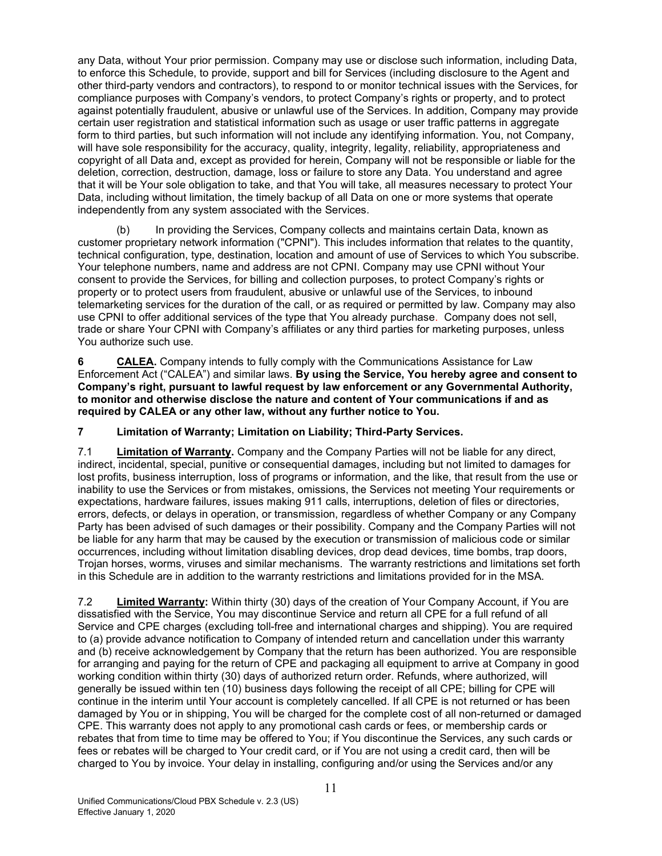any Data, without Your prior permission. Company may use or disclose such information, including Data, to enforce this Schedule, to provide, support and bill for Services (including disclosure to the Agent and other third-party vendors and contractors), to respond to or monitor technical issues with the Services, for compliance purposes with Company's vendors, to protect Company's rights or property, and to protect against potentially fraudulent, abusive or unlawful use of the Services. In addition, Company may provide certain user registration and statistical information such as usage or user traffic patterns in aggregate form to third parties, but such information will not include any identifying information. You, not Company, will have sole responsibility for the accuracy, quality, integrity, legality, reliability, appropriateness and copyright of all Data and, except as provided for herein, Company will not be responsible or liable for the deletion, correction, destruction, damage, loss or failure to store any Data. You understand and agree that it will be Your sole obligation to take, and that You will take, all measures necessary to protect Your Data, including without limitation, the timely backup of all Data on one or more systems that operate independently from any system associated with the Services.

(b) In providing the Services, Company collects and maintains certain Data, known as customer proprietary network information ("CPNI"). This includes information that relates to the quantity, technical configuration, type, destination, location and amount of use of Services to which You subscribe. Your telephone numbers, name and address are not CPNI. Company may use CPNI without Your consent to provide the Services, for billing and collection purposes, to protect Company's rights or property or to protect users from fraudulent, abusive or unlawful use of the Services, to inbound telemarketing services for the duration of the call, or as required or permitted by law. Company may also use CPNI to offer additional services of the type that You already purchase. Company does not sell, trade or share Your CPNI with Company's affiliates or any third parties for marketing purposes, unless You authorize such use.

6 CALEA. Company intends to fully comply with the Communications Assistance for Law Enforcement Act ("CALEA") and similar laws. By using the Service, You hereby agree and consent to Company's right, pursuant to lawful request by law enforcement or any Governmental Authority, to monitor and otherwise disclose the nature and content of Your communications if and as required by CALEA or any other law, without any further notice to You.

## 7 Limitation of Warranty; Limitation on Liability; Third-Party Services.

7.1 **Limitation of Warranty.** Company and the Company Parties will not be liable for any direct, indirect, incidental, special, punitive or consequential damages, including but not limited to damages for lost profits, business interruption, loss of programs or information, and the like, that result from the use or inability to use the Services or from mistakes, omissions, the Services not meeting Your requirements or expectations, hardware failures, issues making 911 calls, interruptions, deletion of files or directories, errors, defects, or delays in operation, or transmission, regardless of whether Company or any Company Party has been advised of such damages or their possibility. Company and the Company Parties will not be liable for any harm that may be caused by the execution or transmission of malicious code or similar occurrences, including without limitation disabling devices, drop dead devices, time bombs, trap doors, Trojan horses, worms, viruses and similar mechanisms. The warranty restrictions and limitations set forth in this Schedule are in addition to the warranty restrictions and limitations provided for in the MSA.

7.2 Limited Warranty: Within thirty (30) days of the creation of Your Company Account, if You are dissatisfied with the Service, You may discontinue Service and return all CPE for a full refund of all Service and CPE charges (excluding toll-free and international charges and shipping). You are required to (a) provide advance notification to Company of intended return and cancellation under this warranty and (b) receive acknowledgement by Company that the return has been authorized. You are responsible for arranging and paying for the return of CPE and packaging all equipment to arrive at Company in good working condition within thirty (30) days of authorized return order. Refunds, where authorized, will generally be issued within ten (10) business days following the receipt of all CPE; billing for CPE will continue in the interim until Your account is completely cancelled. If all CPE is not returned or has been damaged by You or in shipping, You will be charged for the complete cost of all non-returned or damaged CPE. This warranty does not apply to any promotional cash cards or fees, or membership cards or rebates that from time to time may be offered to You; if You discontinue the Services, any such cards or fees or rebates will be charged to Your credit card, or if You are not using a credit card, then will be charged to You by invoice. Your delay in installing, configuring and/or using the Services and/or any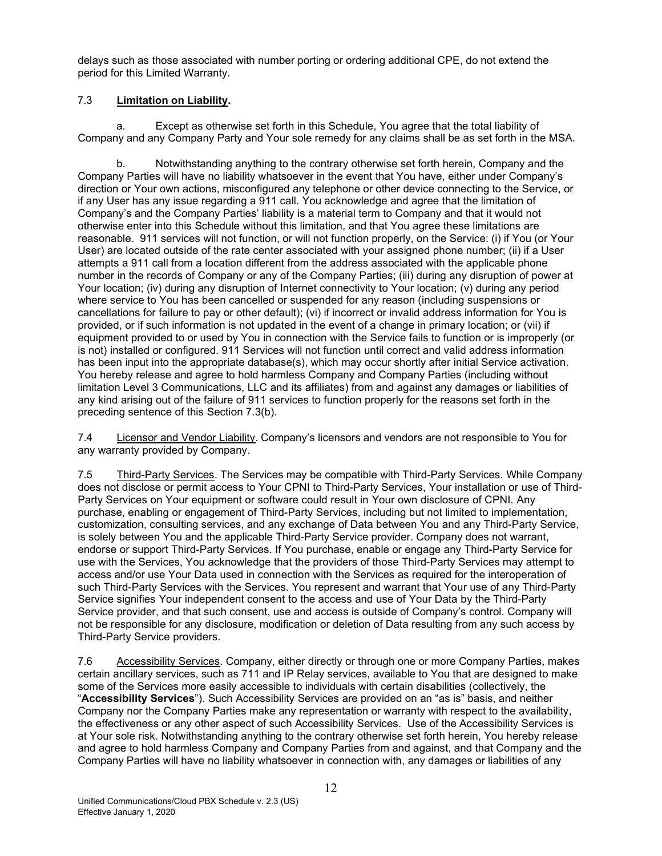delays such as those associated with number porting or ordering additional CPE, do not extend the period for this Limited Warranty.

## 7.3 Limitation on Liability.

a. Except as otherwise set forth in this Schedule, You agree that the total liability of Company and any Company Party and Your sole remedy for any claims shall be as set forth in the MSA.

b. Notwithstanding anything to the contrary otherwise set forth herein, Company and the Company Parties will have no liability whatsoever in the event that You have, either under Company's direction or Your own actions, misconfigured any telephone or other device connecting to the Service, or if any User has any issue regarding a 911 call. You acknowledge and agree that the limitation of Company's and the Company Parties' liability is a material term to Company and that it would not otherwise enter into this Schedule without this limitation, and that You agree these limitations are reasonable. 911 services will not function, or will not function properly, on the Service: (i) if You (or Your User) are located outside of the rate center associated with your assigned phone number; (ii) if a User attempts a 911 call from a location different from the address associated with the applicable phone number in the records of Company or any of the Company Parties; (iii) during any disruption of power at Your location; (iv) during any disruption of Internet connectivity to Your location; (v) during any period where service to You has been cancelled or suspended for any reason (including suspensions or cancellations for failure to pay or other default); (vi) if incorrect or invalid address information for You is provided, or if such information is not updated in the event of a change in primary location; or (vii) if equipment provided to or used by You in connection with the Service fails to function or is improperly (or is not) installed or configured. 911 Services will not function until correct and valid address information has been input into the appropriate database(s), which may occur shortly after initial Service activation. You hereby release and agree to hold harmless Company and Company Parties (including without limitation Level 3 Communications, LLC and its affiliates) from and against any damages or liabilities of any kind arising out of the failure of 911 services to function properly for the reasons set forth in the preceding sentence of this Section 7.3(b).

7.4 Licensor and Vendor Liability. Company's licensors and vendors are not responsible to You for any warranty provided by Company.

7.5 Third-Party Services. The Services may be compatible with Third-Party Services. While Company does not disclose or permit access to Your CPNI to Third-Party Services, Your installation or use of Third-Party Services on Your equipment or software could result in Your own disclosure of CPNI. Any purchase, enabling or engagement of Third-Party Services, including but not limited to implementation, customization, consulting services, and any exchange of Data between You and any Third-Party Service, is solely between You and the applicable Third-Party Service provider. Company does not warrant, endorse or support Third-Party Services. If You purchase, enable or engage any Third-Party Service for use with the Services, You acknowledge that the providers of those Third-Party Services may attempt to access and/or use Your Data used in connection with the Services as required for the interoperation of such Third-Party Services with the Services. You represent and warrant that Your use of any Third-Party Service signifies Your independent consent to the access and use of Your Data by the Third-Party Service provider, and that such consent, use and access is outside of Company's control. Company will not be responsible for any disclosure, modification or deletion of Data resulting from any such access by Third-Party Service providers.

7.6 Accessibility Services. Company, either directly or through one or more Company Parties, makes certain ancillary services, such as 711 and IP Relay services, available to You that are designed to make some of the Services more easily accessible to individuals with certain disabilities (collectively, the "Accessibility Services"). Such Accessibility Services are provided on an "as is" basis, and neither Company nor the Company Parties make any representation or warranty with respect to the availability, the effectiveness or any other aspect of such Accessibility Services. Use of the Accessibility Services is at Your sole risk. Notwithstanding anything to the contrary otherwise set forth herein, You hereby release and agree to hold harmless Company and Company Parties from and against, and that Company and the Company Parties will have no liability whatsoever in connection with, any damages or liabilities of any